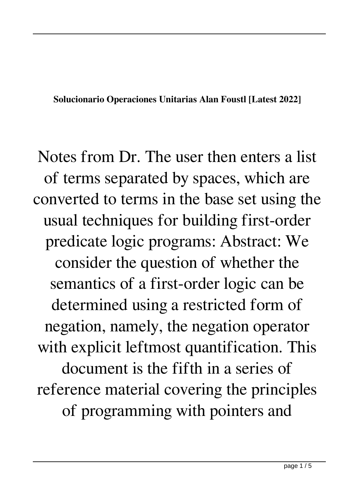**Solucionario Operaciones Unitarias Alan Foustl [Latest 2022]**

Notes from Dr. The user then enters a list of terms separated by spaces, which are converted to terms in the base set using the usual techniques for building first-order predicate logic programs: Abstract: We consider the question of whether the semantics of a first-order logic can be determined using a restricted form of negation, namely, the negation operator with explicit leftmost quantification. This document is the fifth in a series of reference material covering the principles of programming with pointers and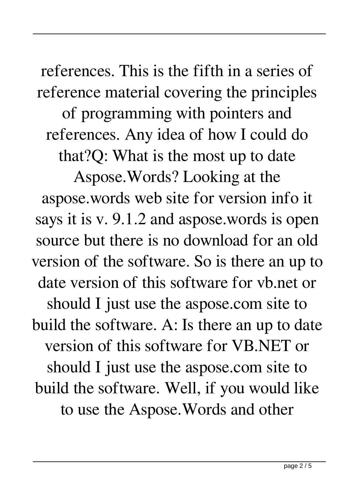references. This is the fifth in a series of reference material covering the principles of programming with pointers and references. Any idea of how I could do that?Q: What is the most up to date Aspose.Words? Looking at the aspose.words web site for version info it says it is v. 9.1.2 and aspose.words is open source but there is no download for an old version of the software. So is there an up to date version of this software for vb.net or should I just use the aspose.com site to build the software. A: Is there an up to date version of this software for VB.NET or should I just use the aspose.com site to build the software. Well, if you would like to use the Aspose.Words and other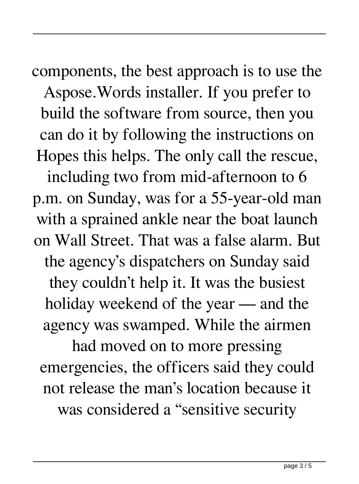components, the best approach is to use the Aspose.Words installer. If you prefer to build the software from source, then you can do it by following the instructions on Hopes this helps. The only call the rescue, including two from mid-afternoon to 6 p.m. on Sunday, was for a 55-year-old man with a sprained ankle near the boat launch on Wall Street. That was a false alarm. But the agency's dispatchers on Sunday said they couldn't help it. It was the busiest holiday weekend of the year — and the agency was swamped. While the airmen

had moved on to more pressing emergencies, the officers said they could not release the man's location because it was considered a "sensitive security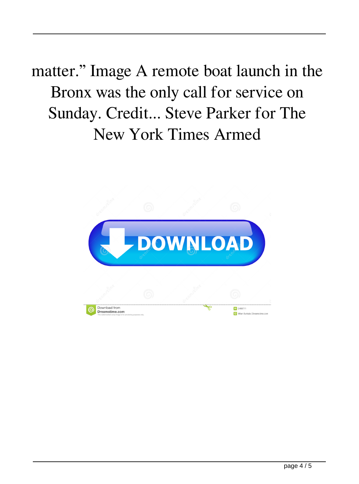## matter." Image A remote boat launch in the Bronx was the only call for service on Sunday. Credit... Steve Parker for The New York Times Armed